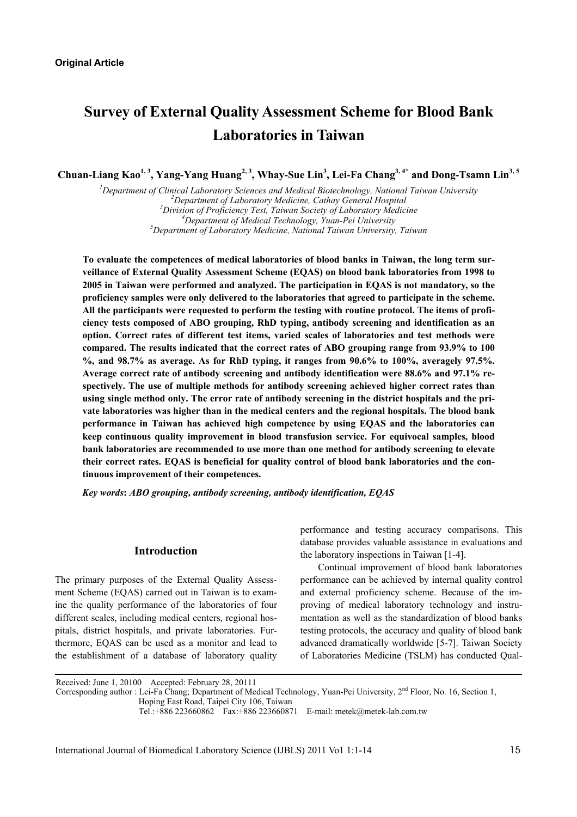# **Survey of External Quality Assessment Scheme for Blood Bank Laboratories in Taiwan**

Chuan-Liang Kao<sup>1, 3</sup>, Yang-Yang Huang<sup>2, 3</sup>, Whay-Sue Lin<sup>3</sup>, Lei-Fa Chang<sup>3, 4\*</sup> and Dong-Tsamn Lin<sup>3, 5</sup>

<sup>1</sup> Department of Clinical Laboratory Sciences and Medical Biotechnology, National Taiwan University <sup>2</sup> Department of Laboratory Medicine, Cathon Cancral Hespital <sup>2</sup>Department of Laboratory Medicine, Cathay General Hospital *Division of Proficiency Test, Taiwan Society of Laboratory Medicine 4* <sup>4</sup>Department of Medical Technology, Yuan-Pei University *Department of Laboratory Medicine, National Taiwan University, Taiwan* 

**To evaluate the competences of medical laboratories of blood banks in Taiwan, the long term surveillance of External Quality Assessment Scheme (EQAS) on blood bank laboratories from 1998 to 2005 in Taiwan were performed and analyzed. The participation in EQAS is not mandatory, so the proficiency samples were only delivered to the laboratories that agreed to participate in the scheme. All the participants were requested to perform the testing with routine protocol. The items of proficiency tests composed of ABO grouping, RhD typing, antibody screening and identification as an option. Correct rates of different test items, varied scales of laboratories and test methods were compared. The results indicated that the correct rates of ABO grouping range from 93.9% to 100 %, and 98.7% as average. As for RhD typing, it ranges from 90.6% to 100%, averagely 97.5%. Average correct rate of antibody screening and antibody identification were 88.6% and 97.1% respectively. The use of multiple methods for antibody screening achieved higher correct rates than using single method only. The error rate of antibody screening in the district hospitals and the private laboratories was higher than in the medical centers and the regional hospitals. The blood bank performance in Taiwan has achieved high competence by using EQAS and the laboratories can keep continuous quality improvement in blood transfusion service. For equivocal samples, blood bank laboratories are recommended to use more than one method for antibody screening to elevate their correct rates. EQAS is beneficial for quality control of blood bank laboratories and the continuous improvement of their competences.** 

*Key words***:** *ABO grouping, antibody screening, antibody identification, EQAS* 

# **Introduction**

The primary purposes of the External Quality Assessment Scheme (EQAS) carried out in Taiwan is to examine the quality performance of the laboratories of four different scales, including medical centers, regional hospitals, district hospitals, and private laboratories. Furthermore, EQAS can be used as a monitor and lead to the establishment of a database of laboratory quality performance and testing accuracy comparisons. This database provides valuable assistance in evaluations and the laboratory inspections in Taiwan [1-4].

Continual improvement of blood bank laboratories performance can be achieved by internal quality control and external proficiency scheme. Because of the improving of medical laboratory technology and instrumentation as well as the standardization of blood banks testing protocols, the accuracy and quality of blood bank advanced dramatically worldwide [5-7]. Taiwan Society of Laboratories Medicine (TSLM) has conducted Qual-

Received: June 1, 20100 Accepted: February 28, 20111

Corresponding author : Lei-Fa Chang; Department of Medical Technology, Yuan-Pei University, 2<sup>nd</sup> Floor, No. 16, Section 1,

Hoping East Road, Taipei City 106, Taiwan

Tel.:+886 223660862 Fax:+886 223660871 E-mail: metek@metek-lab.com.tw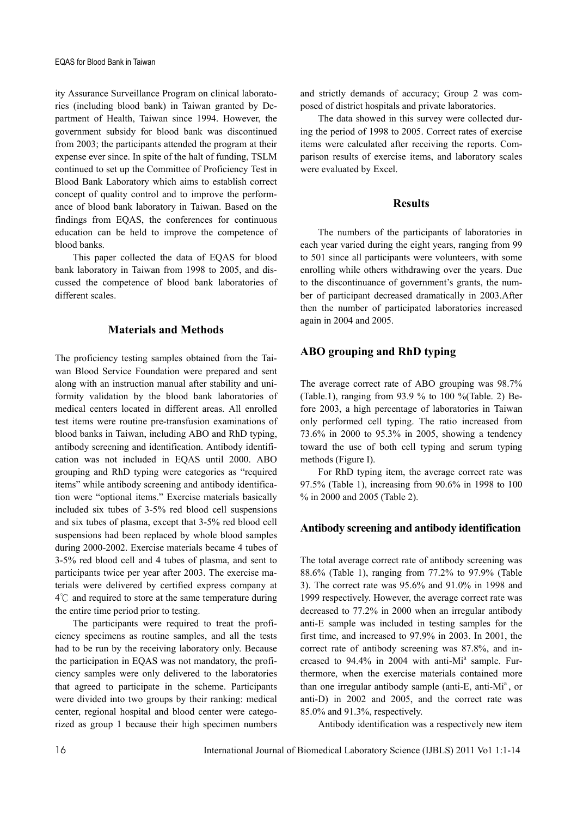ity Assurance Surveillance Program on clinical laboratories (including blood bank) in Taiwan granted by Department of Health, Taiwan since 1994. However, the government subsidy for blood bank was discontinued from 2003; the participants attended the program at their expense ever since. In spite of the halt of funding, TSLM continued to set up the Committee of Proficiency Test in Blood Bank Laboratory which aims to establish correct concept of quality control and to improve the performance of blood bank laboratory in Taiwan. Based on the findings from EQAS, the conferences for continuous education can be held to improve the competence of blood banks.

This paper collected the data of EQAS for blood bank laboratory in Taiwan from 1998 to 2005, and discussed the competence of blood bank laboratories of different scales.

### **Materials and Methods**

The proficiency testing samples obtained from the Taiwan Blood Service Foundation were prepared and sent along with an instruction manual after stability and uniformity validation by the blood bank laboratories of medical centers located in different areas. All enrolled test items were routine pre-transfusion examinations of blood banks in Taiwan, including ABO and RhD typing, antibody screening and identification. Antibody identification was not included in EQAS until 2000. ABO grouping and RhD typing were categories as "required items" while antibody screening and antibody identification were "optional items." Exercise materials basically included six tubes of 3-5% red blood cell suspensions and six tubes of plasma, except that 3-5% red blood cell suspensions had been replaced by whole blood samples during 2000-2002. Exercise materials became 4 tubes of 3-5% red blood cell and 4 tubes of plasma, and sent to participants twice per year after 2003. The exercise materials were delivered by certified express company at 4℃ and required to store at the same temperature during the entire time period prior to testing.

The participants were required to treat the proficiency specimens as routine samples, and all the tests had to be run by the receiving laboratory only. Because the participation in EQAS was not mandatory, the proficiency samples were only delivered to the laboratories that agreed to participate in the scheme. Participants were divided into two groups by their ranking: medical center, regional hospital and blood center were categorized as group 1 because their high specimen numbers and strictly demands of accuracy; Group 2 was composed of district hospitals and private laboratories.

The data showed in this survey were collected during the period of 1998 to 2005. Correct rates of exercise items were calculated after receiving the reports. Comparison results of exercise items, and laboratory scales were evaluated by Excel.

### **Results**

The numbers of the participants of laboratories in each year varied during the eight years, ranging from 99 to 501 since all participants were volunteers, with some enrolling while others withdrawing over the years. Due to the discontinuance of government's grants, the number of participant decreased dramatically in 2003.After then the number of participated laboratories increased again in 2004 and 2005.

# **ABO grouping and RhD typing**

The average correct rate of ABO grouping was 98.7% (Table.1), ranging from 93.9 % to 100 %(Table. 2) Before 2003, a high percentage of laboratories in Taiwan only performed cell typing. The ratio increased from 73.6% in 2000 to 95.3% in 2005, showing a tendency toward the use of both cell typing and serum typing methods (Figure I).

For RhD typing item, the average correct rate was 97.5% (Table 1), increasing from 90.6% in 1998 to 100 % in 2000 and 2005 (Table 2).

## **Antibody screening and antibody identification**

The total average correct rate of antibody screening was 88.6% (Table 1), ranging from 77.2% to 97.9% (Table 3). The correct rate was 95.6% and 91.0% in 1998 and 1999 respectively. However, the average correct rate was decreased to 77.2% in 2000 when an irregular antibody anti-E sample was included in testing samples for the first time, and increased to 97.9% in 2003. In 2001, the correct rate of antibody screening was 87.8%, and increased to 94.4% in 2004 with anti-Mi<sup>a</sup> sample. Furthermore, when the exercise materials contained more than one irregular antibody sample (anti-E, anti-M $i<sup>a</sup>$ , or anti-D) in 2002 and 2005, and the correct rate was 85.0% and 91.3%, respectively.

Antibody identification was a respectively new item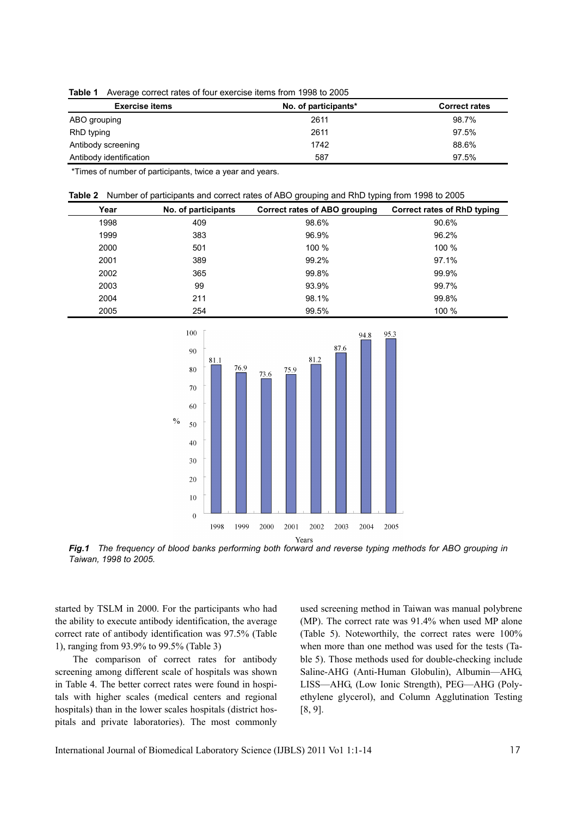|  |  |  | Table 1 Average correct rates of four exercise items from 1998 to 2005 |  |  |  |
|--|--|--|------------------------------------------------------------------------|--|--|--|
|--|--|--|------------------------------------------------------------------------|--|--|--|

| <b>Exercise items</b>   | No. of participants* | <b>Correct rates</b> |
|-------------------------|----------------------|----------------------|
| ABO grouping            | 2611                 | 98.7%                |
| RhD typing              | 2611                 | 97.5%                |
| Antibody screening      | 1742                 | 88.6%                |
| Antibody identification | 587                  | 97.5%                |

\*Times of number of participants, twice a year and years.

|  | Table 2 Number of participants and correct rates of ABO grouping and RhD typing from 1998 to 2005 |  |  |  |
|--|---------------------------------------------------------------------------------------------------|--|--|--|
|  |                                                                                                   |  |  |  |

| Year | No. of participants | Correct rates of ABO grouping | Correct rates of RhD typing |
|------|---------------------|-------------------------------|-----------------------------|
| 1998 | 409                 | 98.6%                         | 90.6%                       |
| 1999 | 383                 | 96.9%                         | 96.2%                       |
| 2000 | 501                 | 100 %                         | 100 %                       |
| 2001 | 389                 | 99.2%                         | 97.1%                       |
| 2002 | 365                 | 99.8%                         | 99.9%                       |
| 2003 | 99                  | 93.9%                         | 99.7%                       |
| 2004 | 211                 | 98.1%                         | 99.8%                       |
| 2005 | 254                 | 99.5%                         | 100 %                       |



*Fig.1 The frequency of blood banks performing both forward and reverse typing methods for ABO grouping in Taiwan, 1998 to 2005.* 

started by TSLM in 2000. For the participants who had the ability to execute antibody identification, the average correct rate of antibody identification was 97.5% (Table 1), ranging from 93.9% to 99.5% (Table 3)

The comparison of correct rates for antibody screening among different scale of hospitals was shown in Table 4. The better correct rates were found in hospitals with higher scales (medical centers and regional hospitals) than in the lower scales hospitals (district hospitals and private laboratories). The most commonly

used screening method in Taiwan was manual polybrene (MP). The correct rate was 91.4% when used MP alone (Table 5). Noteworthily, the correct rates were 100% when more than one method was used for the tests (Table 5). Those methods used for double-checking include Saline-AHG (Anti-Human Globulin), Albumin—AHG, LISS—AHG, (Low Ionic Strength), PEG—AHG (Polyethylene glycerol), and Column Agglutination Testing [8, 9].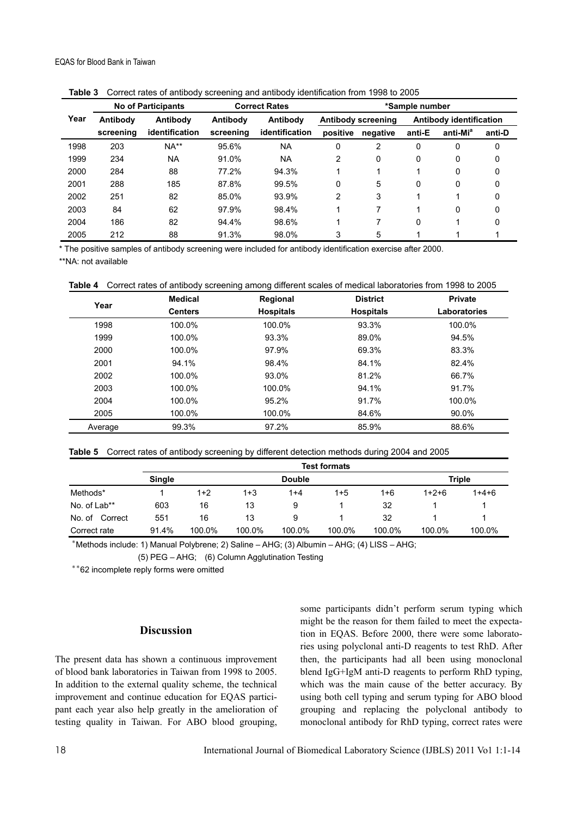|      | ۔ ت                  |                           |           |                      |              |                    |                         |                      |        |  |
|------|----------------------|---------------------------|-----------|----------------------|--------------|--------------------|-------------------------|----------------------|--------|--|
|      |                      | <b>No of Participants</b> |           | <b>Correct Rates</b> |              |                    | *Sample number          |                      |        |  |
| Year | Antibody<br>Antibody |                           | Antibody  |                      |              | Antibody screening | Antibody identification |                      |        |  |
|      | screening            | identification            | screening | identification       | positive     | negative           | anti-E                  | anti-Mi <sup>a</sup> | anti-D |  |
| 1998 | 203                  | $NA**$                    | 95.6%     | NA                   | $\mathbf{0}$ | 2                  | 0                       | 0                    | 0      |  |
| 1999 | 234                  | <b>NA</b>                 | 91.0%     | <b>NA</b>            | 2            | 0                  | 0                       | 0                    | 0      |  |
| 2000 | 284                  | 88                        | 77.2%     | 94.3%                |              |                    |                         | 0                    | 0      |  |
| 2001 | 288                  | 185                       | 87.8%     | 99.5%                | $\mathbf{0}$ | 5                  | 0                       | 0                    | 0      |  |
| 2002 | 251                  | 82                        | 85.0%     | 93.9%                | 2            | 3                  |                         |                      | 0      |  |
| 2003 | 84                   | 62                        | 97.9%     | 98.4%                |              | 7                  |                         | 0                    | 0      |  |
| 2004 | 186                  | 82                        | 94.4%     | 98.6%                | 1            | 7                  | 0                       |                      | 0      |  |
| 2005 | 212                  | 88                        | 91.3%     | 98.0%                | 3            | 5                  |                         |                      |        |  |

**Table 3** Correct rates of antibody screening and antibody identification from 1998 to 2005

\* The positive samples of antibody screening were included for antibody identification exercise after 2000.

\*\*NA: not available

**Table 4** Correct rates of antibody screening among different scales of medical laboratories from 1998 to 2005

|         | <b>Medical</b> | Regional         | <b>District</b>  | <b>Private</b> |
|---------|----------------|------------------|------------------|----------------|
| Year    | <b>Centers</b> | <b>Hospitals</b> | <b>Hospitals</b> | Laboratories   |
| 1998    | 100.0%         | 100.0%           | 93.3%            | 100.0%         |
| 1999    | 100.0%         | 93.3%            | 89.0%            | 94.5%          |
| 2000    | 100.0%         | 97.9%            | 69.3%            | 83.3%          |
| 2001    | 94.1%          | 98.4%            | 84.1%            | 82.4%          |
| 2002    | 100.0%         | 93.0%            | 81.2%            | 66.7%          |
| 2003    | 100.0%         | 100.0%           | 94.1%            | 91.7%          |
| 2004    | 100.0%         | 95.2%            | 91.7%            | 100.0%         |
| 2005    | 100.0%         | 100.0%           | 84.6%            | 90.0%          |
| Average | 99.3%          | 97.2%            | 85.9%            | 88.6%          |

|                   | <b>Test formats</b> |        |         |               |         |         |         |               |  |
|-------------------|---------------------|--------|---------|---------------|---------|---------|---------|---------------|--|
|                   | <b>Single</b>       |        |         | <b>Double</b> |         |         |         | <b>Triple</b> |  |
| Methods*          |                     | $1+2$  | $1 + 3$ | $1 + 4$       | $1 + 5$ | $1 + 6$ | $1+2+6$ | $1+4+6$       |  |
| No. of Lab**      | 603                 | 16     | 13      | 9             |         | 32      |         |               |  |
| Correct<br>No. of | 551                 | 16     | 13      | 9             |         | 32      |         |               |  |
| Correct rate      | 91.4%               | 100.0% | 100.0%  | 100.0%        | 100.0%  | 100.0%  | 100.0%  | 100.0%        |  |

\* Methods include: 1) Manual Polybrene; 2) Saline – AHG; (3) Albumin – AHG; (4) LISS – AHG;

(5) PEG – AHG; (6) Column Agglutination Testing

\*\*62 incomplete reply forms were omitted

## **Discussion**

The present data has shown a continuous improvement of blood bank laboratories in Taiwan from 1998 to 2005. In addition to the external quality scheme, the technical improvement and continue education for EQAS participant each year also help greatly in the amelioration of testing quality in Taiwan. For ABO blood grouping, some participants didn't perform serum typing which might be the reason for them failed to meet the expectation in EQAS. Before 2000, there were some laboratories using polyclonal anti-D reagents to test RhD. After then, the participants had all been using monoclonal blend IgG+IgM anti-D reagents to perform RhD typing, which was the main cause of the better accuracy. By using both cell typing and serum typing for ABO blood grouping and replacing the polyclonal antibody to monoclonal antibody for RhD typing, correct rates were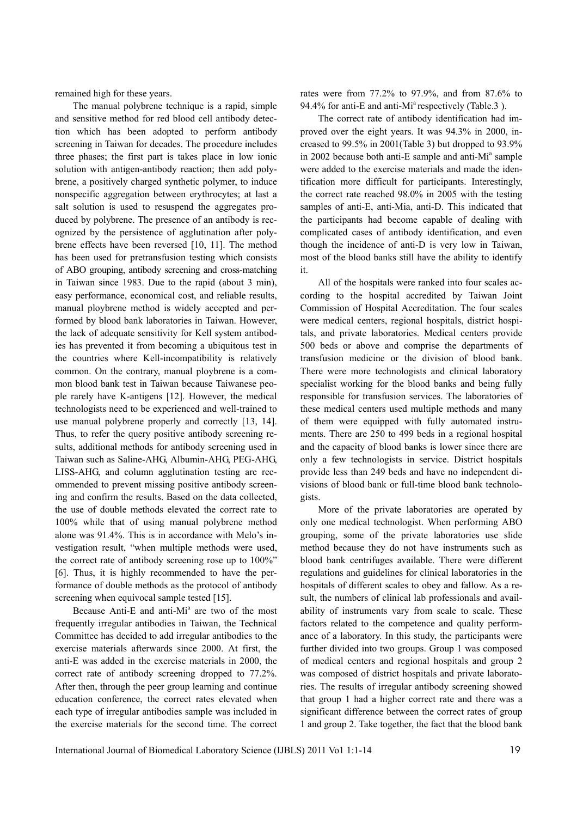remained high for these years.

The manual polybrene technique is a rapid, simple and sensitive method for red blood cell antibody detection which has been adopted to perform antibody screening in Taiwan for decades. The procedure includes three phases; the first part is takes place in low ionic solution with antigen-antibody reaction; then add polybrene, a positively charged synthetic polymer, to induce nonspecific aggregation between erythrocytes; at last a salt solution is used to resuspend the aggregates produced by polybrene. The presence of an antibody is recognized by the persistence of agglutination after polybrene effects have been reversed [10, 11]. The method has been used for pretransfusion testing which consists of ABO grouping, antibody screening and cross-matching in Taiwan since 1983. Due to the rapid (about 3 min), easy performance, economical cost, and reliable results, manual ploybrene method is widely accepted and performed by blood bank laboratories in Taiwan. However, the lack of adequate sensitivity for Kell system antibodies has prevented it from becoming a ubiquitous test in the countries where Kell-incompatibility is relatively common. On the contrary, manual ploybrene is a common blood bank test in Taiwan because Taiwanese people rarely have K-antigens [12]. However, the medical technologists need to be experienced and well-trained to use manual polybrene properly and correctly [13, 14]. Thus, to refer the query positive antibody screening results, additional methods for antibody screening used in Taiwan such as Saline-AHG, Albumin-AHG, PEG-AHG, LISS-AHG, and column agglutination testing are recommended to prevent missing positive antibody screening and confirm the results. Based on the data collected, the use of double methods elevated the correct rate to 100% while that of using manual polybrene method alone was 91.4%. This is in accordance with Melo's investigation result, "when multiple methods were used, the correct rate of antibody screening rose up to 100%" [6]. Thus, it is highly recommended to have the performance of double methods as the protocol of antibody screening when equivocal sample tested [15].

Because Anti-E and anti-Mi<sup>a</sup> are two of the most frequently irregular antibodies in Taiwan, the Technical Committee has decided to add irregular antibodies to the exercise materials afterwards since 2000. At first, the anti-E was added in the exercise materials in 2000, the correct rate of antibody screening dropped to 77.2%. After then, through the peer group learning and continue education conference, the correct rates elevated when each type of irregular antibodies sample was included in the exercise materials for the second time. The correct

rates were from 77.2% to 97.9%, and from 87.6% to 94.4% for anti-E and anti-Mi<sup>a</sup> respectively (Table.3).

The correct rate of antibody identification had improved over the eight years. It was 94.3% in 2000, increased to 99.5% in 2001(Table 3) but dropped to 93.9% in 2002 because both anti-E sample and anti-Mi<sup>a</sup> sample were added to the exercise materials and made the identification more difficult for participants. Interestingly, the correct rate reached 98.0% in 2005 with the testing samples of anti-E, anti-Mia, anti-D. This indicated that the participants had become capable of dealing with complicated cases of antibody identification, and even though the incidence of anti-D is very low in Taiwan, most of the blood banks still have the ability to identify it.

All of the hospitals were ranked into four scales according to the hospital accredited by Taiwan Joint Commission of Hospital Accreditation. The four scales were medical centers, regional hospitals, district hospitals, and private laboratories. Medical centers provide 500 beds or above and comprise the departments of transfusion medicine or the division of blood bank. There were more technologists and clinical laboratory specialist working for the blood banks and being fully responsible for transfusion services. The laboratories of these medical centers used multiple methods and many of them were equipped with fully automated instruments. There are 250 to 499 beds in a regional hospital and the capacity of blood banks is lower since there are only a few technologists in service. District hospitals provide less than 249 beds and have no independent divisions of blood bank or full-time blood bank technologists.

More of the private laboratories are operated by only one medical technologist. When performing ABO grouping, some of the private laboratories use slide method because they do not have instruments such as blood bank centrifuges available. There were different regulations and guidelines for clinical laboratories in the hospitals of different scales to obey and fallow. As a result, the numbers of clinical lab professionals and availability of instruments vary from scale to scale. These factors related to the competence and quality performance of a laboratory. In this study, the participants were further divided into two groups. Group 1 was composed of medical centers and regional hospitals and group 2 was composed of district hospitals and private laboratories. The results of irregular antibody screening showed that group 1 had a higher correct rate and there was a significant difference between the correct rates of group 1 and group 2. Take together, the fact that the blood bank